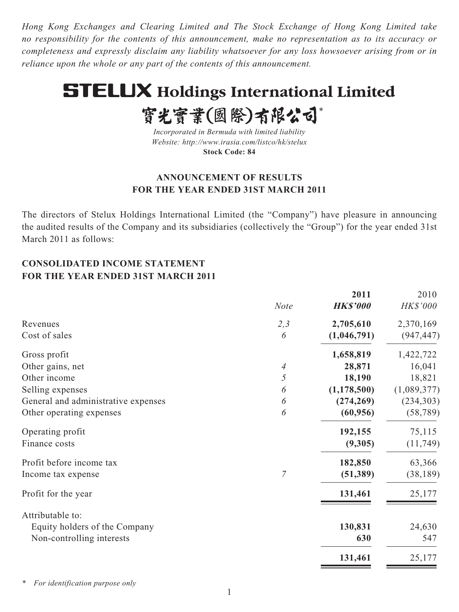*Hong Kong Exchanges and Clearing Limited and The Stock Exchange of Hong Kong Limited take no responsibility for the contents of this announcement, make no representation as to its accuracy or completeness and expressly disclaim any liability whatsoever for any loss howsoever arising from or in reliance upon the whole or any part of the contents of this announcement.*

# **STELUX Holdings International Limited**

實光實業(國際)有限公司\*

*Incorporated in Bermuda with limited liability Website: http://www.irasia.com/listco/hk/stelux* **Stock Code: 84**

## **ANNOUNCEMENT OF RESULTS FOR THE YEAR ENDED 31ST MARCH 2011**

The directors of Stelux Holdings International Limited (the "Company") have pleasure in announcing the audited results of the Company and its subsidiaries (collectively the "Group") for the year ended 31st March 2011 as follows:

## **CONSOLIDATED INCOME STATEMENT FOR THE YEAR ENDED 31ST MARCH 2011**

| <b>Note</b> | 2011<br><b>HK\$'000</b> | 2010<br>HK\$'000     |
|-------------|-------------------------|----------------------|
|             |                         | 2,370,169            |
| 6           | (1,046,791)             | (947, 447)           |
|             | 1,658,819               | 1,422,722            |
| 4           | 28,871                  | 16,041               |
| 5           | 18,190                  | 18,821               |
| 6           | (1, 178, 500)           | (1,089,377)          |
| 6           | (274, 269)              | (234, 303)           |
| 6           | (60, 956)               | (58, 789)            |
|             | 192,155                 | 75,115               |
|             | (9,305)                 | (11,749)             |
|             |                         | 63,366               |
| 7           | (51, 389)               | (38, 189)            |
|             | 131,461                 | 25,177               |
|             |                         |                      |
|             | 130,831                 | 24,630               |
|             | 630                     | 547                  |
|             | 131,461                 | 25,177               |
|             | 2,3                     | 2,705,610<br>182,850 |

*\* For identification purpose only*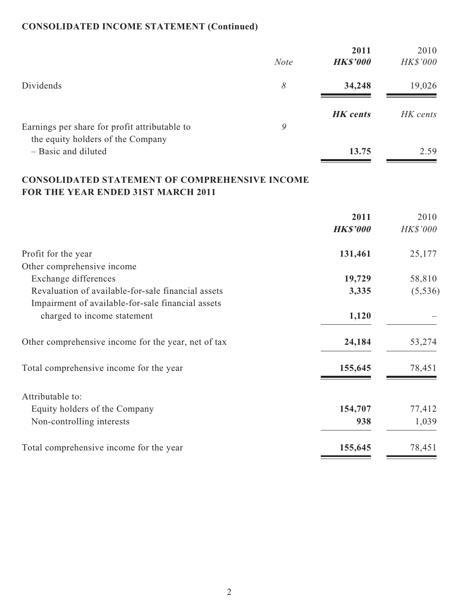## **CONSOLIDATED INCOME STATEMENT (Continued)**

|                                                          | <b>Note</b> | 2011<br><b>HK\$'000</b> | 2010<br>HK\$'000 |
|----------------------------------------------------------|-------------|-------------------------|------------------|
| Dividends                                                | 8           | 34,248                  | 19,026           |
| Earnings per share for profit attributable to            | 9           | <b>HK</b> cents         | HK cents         |
| the equity holders of the Company<br>- Basic and diluted |             | 13.75                   | 2.59             |

## **CONSOLIDATED STATEMENT OF COMPREHENSIVE INCOME FOR THE YEAR ENDED 31ST MARCH 2011**

|                                                     | 2011<br><b>HK\$'000</b> | 2010<br>HK\$'000 |
|-----------------------------------------------------|-------------------------|------------------|
| Profit for the year                                 | 131,461                 | 25,177           |
| Other comprehensive income                          |                         |                  |
| Exchange differences                                | 19,729                  | 58,810           |
| Revaluation of available-for-sale financial assets  | 3,335                   | (5, 536)         |
| Impairment of available-for-sale financial assets   |                         |                  |
| charged to income statement                         | 1,120                   |                  |
| Other comprehensive income for the year, net of tax | 24,184                  | 53,274           |
| Total comprehensive income for the year             | 155,645                 | 78,451           |
| Attributable to:                                    |                         |                  |
| Equity holders of the Company                       | 154,707                 | 77,412           |
| Non-controlling interests                           | 938                     | 1,039            |
| Total comprehensive income for the year             | 155,645                 | 78,451           |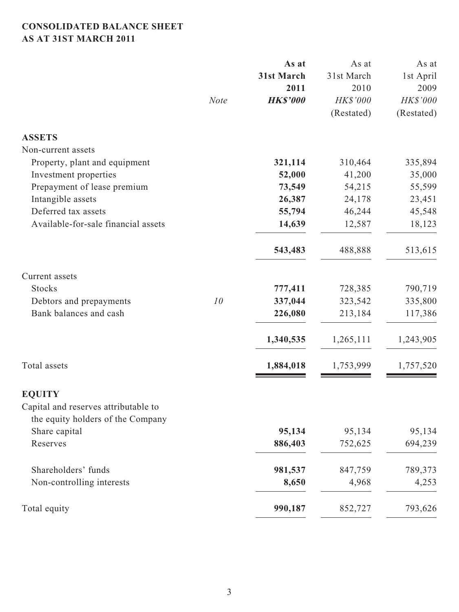## **CONSOLIDATED BALANCE SHEET AS AT 31ST MARCH 2011**

|                                                                           |             | As at           | As at      | As at      |
|---------------------------------------------------------------------------|-------------|-----------------|------------|------------|
|                                                                           |             | 31st March      | 31st March | 1st April  |
|                                                                           |             | 2011            | 2010       | 2009       |
|                                                                           | <b>Note</b> | <b>HK\$'000</b> | HK\$'000   | HK\$'000   |
|                                                                           |             |                 | (Restated) | (Restated) |
| <b>ASSETS</b>                                                             |             |                 |            |            |
| Non-current assets                                                        |             |                 |            |            |
| Property, plant and equipment                                             |             | 321,114         | 310,464    | 335,894    |
| Investment properties                                                     |             | 52,000          | 41,200     | 35,000     |
| Prepayment of lease premium                                               |             | 73,549          | 54,215     | 55,599     |
| Intangible assets                                                         |             | 26,387          | 24,178     | 23,451     |
| Deferred tax assets                                                       |             | 55,794          | 46,244     | 45,548     |
| Available-for-sale financial assets                                       |             | 14,639          | 12,587     | 18,123     |
|                                                                           |             | 543,483         | 488,888    | 513,615    |
| Current assets                                                            |             |                 |            |            |
| <b>Stocks</b>                                                             |             | 777,411         | 728,385    | 790,719    |
| Debtors and prepayments                                                   | 10          | 337,044         | 323,542    | 335,800    |
| Bank balances and cash                                                    |             | 226,080         | 213,184    | 117,386    |
|                                                                           |             | 1,340,535       | 1,265,111  | 1,243,905  |
| Total assets                                                              |             | 1,884,018       | 1,753,999  | 1,757,520  |
| <b>EQUITY</b>                                                             |             |                 |            |            |
| Capital and reserves attributable to<br>the equity holders of the Company |             |                 |            |            |
| Share capital                                                             |             | 95,134          | 95,134     | 95,134     |
| Reserves                                                                  |             | 886,403         | 752,625    | 694,239    |
| Shareholders' funds                                                       |             | 981,537         | 847,759    | 789,373    |
| Non-controlling interests                                                 |             | 8,650           | 4,968      | 4,253      |
| Total equity                                                              |             | 990,187         | 852,727    | 793,626    |
|                                                                           |             |                 |            |            |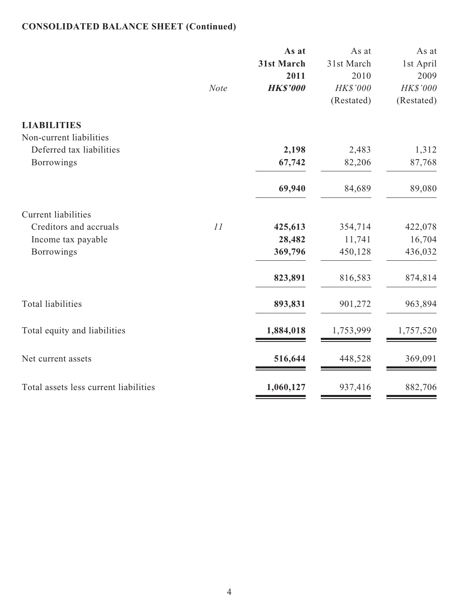## **CONSOLIDATED BALANCE SHEET (Continued)**

|                                               |             | As at<br>31st March<br>2011 | As at<br>31st March<br>2010 | As at<br>1st April<br>2009 |
|-----------------------------------------------|-------------|-----------------------------|-----------------------------|----------------------------|
|                                               | <b>Note</b> | <b>HK\$'000</b>             | HK\$'000<br>(Restated)      | HK\$'000<br>(Restated)     |
| <b>LIABILITIES</b><br>Non-current liabilities |             |                             |                             |                            |
| Deferred tax liabilities                      |             | 2,198                       | 2,483                       | 1,312                      |
| Borrowings                                    |             | 67,742                      | 82,206                      | 87,768                     |
|                                               |             | 69,940                      | 84,689                      | 89,080                     |
| <b>Current liabilities</b>                    |             |                             |                             |                            |
| Creditors and accruals                        | 11          | 425,613                     | 354,714                     | 422,078                    |
| Income tax payable                            |             | 28,482                      | 11,741                      | 16,704                     |
| <b>Borrowings</b>                             |             | 369,796                     | 450,128                     | 436,032                    |
|                                               |             | 823,891                     | 816,583                     | 874,814                    |
| <b>Total liabilities</b>                      |             | 893,831                     | 901,272                     | 963,894                    |
| Total equity and liabilities                  |             | 1,884,018                   | 1,753,999                   | 1,757,520                  |
| Net current assets                            |             | 516,644                     | 448,528                     | 369,091                    |
| Total assets less current liabilities         |             | 1,060,127                   | 937,416                     | 882,706                    |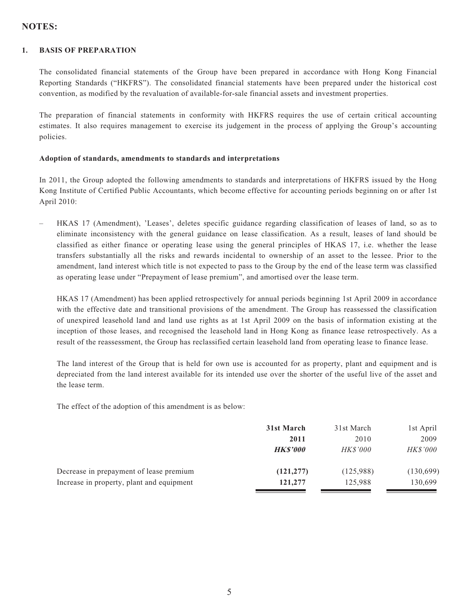## **NOTES:**

#### **1. BASIS OF PREPARATION**

The consolidated financial statements of the Group have been prepared in accordance with Hong Kong Financial Reporting Standards ("HKFRS"). The consolidated financial statements have been prepared under the historical cost convention, as modified by the revaluation of available-for-sale financial assets and investment properties.

The preparation of financial statements in conformity with HKFRS requires the use of certain critical accounting estimates. It also requires management to exercise its judgement in the process of applying the Group's accounting policies.

#### **Adoption of standards, amendments to standards and interpretations**

In 2011, the Group adopted the following amendments to standards and interpretations of HKFRS issued by the Hong Kong Institute of Certified Public Accountants, which become effective for accounting periods beginning on or after 1st April 2010:

– HKAS 17 (Amendment), 'Leases', deletes specific guidance regarding classification of leases of land, so as to eliminate inconsistency with the general guidance on lease classification. As a result, leases of land should be classified as either finance or operating lease using the general principles of HKAS 17, i.e. whether the lease transfers substantially all the risks and rewards incidental to ownership of an asset to the lessee. Prior to the amendment, land interest which title is not expected to pass to the Group by the end of the lease term was classified as operating lease under "Prepayment of lease premium", and amortised over the lease term.

HKAS 17 (Amendment) has been applied retrospectively for annual periods beginning 1st April 2009 in accordance with the effective date and transitional provisions of the amendment. The Group has reassessed the classification of unexpired leasehold land and land use rights as at 1st April 2009 on the basis of information existing at the inception of those leases, and recognised the leasehold land in Hong Kong as finance lease retrospectively. As a result of the reassessment, the Group has reclassified certain leasehold land from operating lease to finance lease.

The land interest of the Group that is held for own use is accounted for as property, plant and equipment and is depreciated from the land interest available for its intended use over the shorter of the useful live of the asset and the lease term.

The effect of the adoption of this amendment is as below:

|                                           | 31st March     | 31st March      | 1st April       |
|-------------------------------------------|----------------|-----------------|-----------------|
|                                           | 2011           | 2010            | 2009            |
|                                           | <b>HKS'000</b> | <i>HK\$'000</i> | <i>HK\$'000</i> |
| Decrease in prepayment of lease premium   | (121, 277)     | (125,988)       | (130,699)       |
| Increase in property, plant and equipment | 121,277        | 125,988         | 130,699         |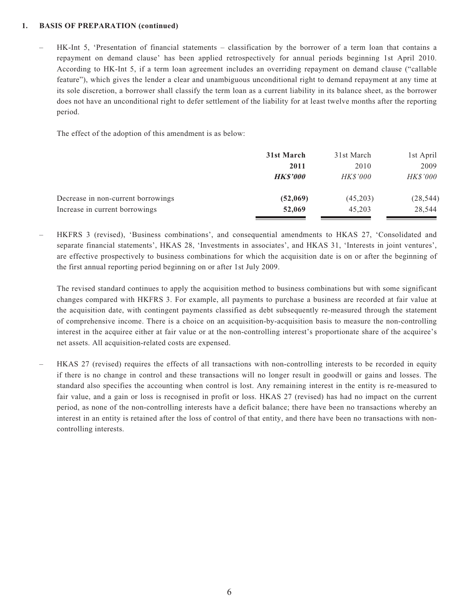#### **1. BASIS OF PREPARATION (continued)**

– HK-Int 5, 'Presentation of financial statements – classification by the borrower of a term loan that contains a repayment on demand clause' has been applied retrospectively for annual periods beginning 1st April 2010. According to HK-Int 5, if a term loan agreement includes an overriding repayment on demand clause ("callable feature"), which gives the lender a clear and unambiguous unconditional right to demand repayment at any time at its sole discretion, a borrower shall classify the term loan as a current liability in its balance sheet, as the borrower does not have an unconditional right to defer settlement of the liability for at least twelve months after the reporting period.

The effect of the adoption of this amendment is as below:

|                                    | 31st March     | 31st March      | 1st April       |
|------------------------------------|----------------|-----------------|-----------------|
|                                    | 2011           | 2010            | 2009            |
|                                    | <b>HKS'000</b> | <b>HK\$'000</b> | <i>HK\$'000</i> |
| Decrease in non-current borrowings | (52,069)       | (45,203)        | (28, 544)       |
| Increase in current borrowings     | 52,069         | 45,203          | 28,544          |

– HKFRS 3 (revised), 'Business combinations', and consequential amendments to HKAS 27, 'Consolidated and separate financial statements', HKAS 28, 'Investments in associates', and HKAS 31, 'Interests in joint ventures', are effective prospectively to business combinations for which the acquisition date is on or after the beginning of the first annual reporting period beginning on or after 1st July 2009.

The revised standard continues to apply the acquisition method to business combinations but with some significant changes compared with HKFRS 3. For example, all payments to purchase a business are recorded at fair value at the acquisition date, with contingent payments classified as debt subsequently re-measured through the statement of comprehensive income. There is a choice on an acquisition-by-acquisition basis to measure the non-controlling interest in the acquiree either at fair value or at the non-controlling interest's proportionate share of the acquiree's net assets. All acquisition-related costs are expensed.

– HKAS 27 (revised) requires the effects of all transactions with non-controlling interests to be recorded in equity if there is no change in control and these transactions will no longer result in goodwill or gains and losses. The standard also specifies the accounting when control is lost. Any remaining interest in the entity is re-measured to fair value, and a gain or loss is recognised in profit or loss. HKAS 27 (revised) has had no impact on the current period, as none of the non-controlling interests have a deficit balance; there have been no transactions whereby an interest in an entity is retained after the loss of control of that entity, and there have been no transactions with noncontrolling interests.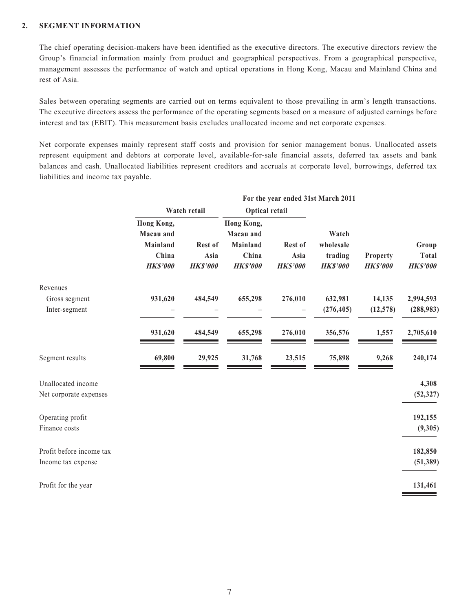#### **2. SEGMENT INFORMATION**

The chief operating decision-makers have been identified as the executive directors. The executive directors review the Group's financial information mainly from product and geographical perspectives. From a geographical perspective, management assesses the performance of watch and optical operations in Hong Kong, Macau and Mainland China and rest of Asia.

Sales between operating segments are carried out on terms equivalent to those prevailing in arm's length transactions. The executive directors assess the performance of the operating segments based on a measure of adjusted earnings before interest and tax (EBIT). This measurement basis excludes unallocated income and net corporate expenses.

Net corporate expenses mainly represent staff costs and provision for senior management bonus. Unallocated assets represent equipment and debtors at corporate level, available-for-sale financial assets, deferred tax assets and bank balances and cash. Unallocated liabilities represent creditors and accruals at corporate level, borrowings, deferred tax liabilities and income tax payable.

|                          |                                                                        |                                    |                                                                 | For the year ended 31st March 2011 |                                                  |                             |                                          |  |
|--------------------------|------------------------------------------------------------------------|------------------------------------|-----------------------------------------------------------------|------------------------------------|--------------------------------------------------|-----------------------------|------------------------------------------|--|
|                          |                                                                        | Watch retail                       | Optical retail                                                  |                                    |                                                  |                             |                                          |  |
|                          | Hong Kong,<br>Macau and<br><b>Mainland</b><br>China<br><b>HK\$'000</b> | Rest of<br>Asia<br><b>HK\$'000</b> | Hong Kong,<br>Macau and<br>Mainland<br>China<br><b>HK\$'000</b> | Rest of<br>Asia<br><b>HK\$'000</b> | Watch<br>wholesale<br>trading<br><b>HK\$'000</b> | Property<br><b>HK\$'000</b> | Group<br><b>Total</b><br><b>HK\$'000</b> |  |
| Revenues                 |                                                                        |                                    |                                                                 |                                    |                                                  |                             |                                          |  |
| Gross segment            | 931,620                                                                | 484,549                            | 655,298                                                         | 276,010                            | 632,981                                          | 14,135                      | 2,994,593                                |  |
| Inter-segment            |                                                                        |                                    |                                                                 |                                    | (276, 405)                                       | (12, 578)                   | (288,983)                                |  |
|                          | 931,620                                                                | 484,549                            | 655,298                                                         | 276,010                            | 356,576                                          | 1,557                       | 2,705,610                                |  |
| Segment results          | 69,800                                                                 | 29,925                             | 31,768                                                          | 23,515                             | 75,898                                           | 9,268                       | 240,174                                  |  |
| Unallocated income       |                                                                        |                                    |                                                                 |                                    |                                                  |                             | 4,308                                    |  |
| Net corporate expenses   |                                                                        |                                    |                                                                 |                                    |                                                  |                             | (52, 327)                                |  |
| Operating profit         |                                                                        |                                    |                                                                 |                                    |                                                  |                             | 192,155                                  |  |
| Finance costs            |                                                                        |                                    |                                                                 |                                    |                                                  |                             | (9, 305)                                 |  |
| Profit before income tax |                                                                        |                                    |                                                                 |                                    |                                                  |                             | 182,850                                  |  |
| Income tax expense       |                                                                        |                                    |                                                                 |                                    |                                                  |                             | (51, 389)                                |  |
| Profit for the year      |                                                                        |                                    |                                                                 |                                    |                                                  |                             | 131,461                                  |  |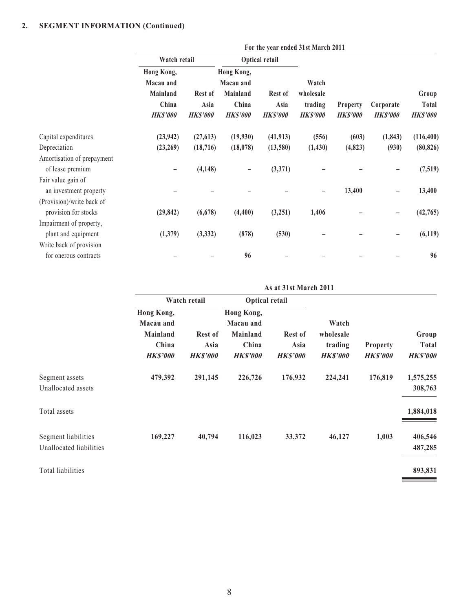|                                                   |                                                                 | For the year ended 31st March 2011 |                                                                 |                                    |                                                 |                                   |                              |                                   |
|---------------------------------------------------|-----------------------------------------------------------------|------------------------------------|-----------------------------------------------------------------|------------------------------------|-------------------------------------------------|-----------------------------------|------------------------------|-----------------------------------|
|                                                   | Watch retail                                                    |                                    |                                                                 | Optical retail                     |                                                 |                                   |                              |                                   |
|                                                   | Hong Kong,<br>Macau and<br>Mainland<br>China<br><b>HK\$'000</b> | Rest of<br>Asia<br><b>HKS'000</b>  | Hong Kong,<br>Macau and<br>Mainland<br>China<br><b>HK\$'000</b> | Rest of<br>Asia<br><b>HK\$'000</b> | Watch<br>wholesale<br>trading<br><b>HKS'000</b> | <b>Property</b><br><b>HKS'000</b> | Corporate<br><b>HK\$'000</b> | Group<br>Total<br><b>HK\$'000</b> |
| Capital expenditures                              | (23, 942)                                                       | (27, 613)                          | (19,930)                                                        | (41, 913)                          | (556)                                           | (603)                             | (1, 843)                     | (116, 400)                        |
| Depreciation                                      | (23,269)                                                        | (18, 716)                          | (18,078)                                                        | (13,580)                           | (1, 430)                                        | (4,823)                           | (930)                        | (80, 826)                         |
| Amortisation of prepayment<br>of lease premium    | $\qquad \qquad -$                                               | (4, 148)                           | $\qquad \qquad -$                                               | (3,371)                            |                                                 |                                   |                              | (7,519)                           |
| Fair value gain of<br>an investment property      |                                                                 |                                    |                                                                 |                                    |                                                 | 13,400                            |                              | 13,400                            |
| (Provision)/write back of<br>provision for stocks | (29, 842)                                                       | (6, 678)                           | (4,400)                                                         | (3,251)                            | 1,406                                           |                                   |                              | (42,765)                          |
| Impairment of property,                           |                                                                 |                                    |                                                                 |                                    |                                                 |                                   |                              |                                   |
| plant and equipment<br>Write back of provision    | (1,379)                                                         | (3, 332)                           | (878)                                                           | (530)                              |                                                 |                                   |                              | (6, 119)                          |
| for onerous contracts                             |                                                                 |                                    | 96                                                              |                                    |                                                 |                                   |                              | 96                                |

|                                                |                                                                        | As at 31st March 2011                     |                                                                 |                                           |                                                  |                                    |                                          |  |
|------------------------------------------------|------------------------------------------------------------------------|-------------------------------------------|-----------------------------------------------------------------|-------------------------------------------|--------------------------------------------------|------------------------------------|------------------------------------------|--|
|                                                |                                                                        | Watch retail                              | Optical retail                                                  |                                           |                                                  |                                    |                                          |  |
|                                                | Hong Kong,<br>Macau and<br><b>Mainland</b><br>China<br><b>HK\$'000</b> | <b>Rest of</b><br>Asia<br><b>HK\$'000</b> | Hong Kong,<br>Macau and<br>Mainland<br>China<br><b>HK\$'000</b> | <b>Rest of</b><br>Asia<br><b>HK\$'000</b> | Watch<br>wholesale<br>trading<br><b>HK\$'000</b> | <b>Property</b><br><b>HK\$'000</b> | Group<br><b>Total</b><br><b>HK\$'000</b> |  |
| Segment assets<br>Unallocated assets           | 479,392                                                                | 291,145                                   | 226,726                                                         | 176,932                                   | 224,241                                          | 176,819                            | 1,575,255<br>308,763                     |  |
| Total assets                                   |                                                                        |                                           |                                                                 |                                           |                                                  |                                    | 1,884,018                                |  |
| Segment liabilities<br>Unallocated liabilities | 169,227                                                                | 40,794                                    | 116,023                                                         | 33,372                                    | 46,127                                           | 1,003                              | 406,546<br>487,285                       |  |
| Total liabilities                              |                                                                        |                                           |                                                                 |                                           |                                                  |                                    | 893,831                                  |  |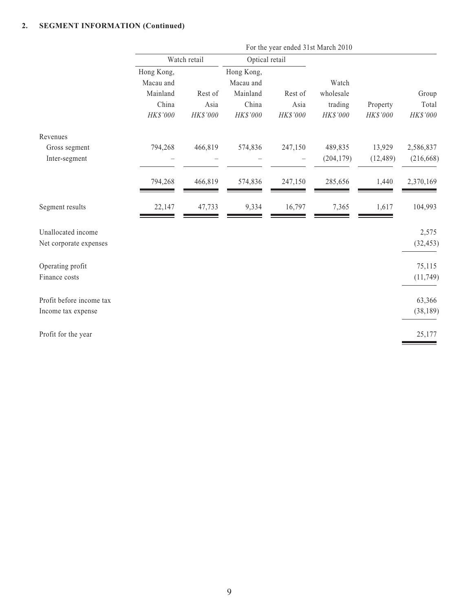|                                                |                                                          |                             |                                                          | For the year ended 31st March 2010 |                                           |                      |                            |  |
|------------------------------------------------|----------------------------------------------------------|-----------------------------|----------------------------------------------------------|------------------------------------|-------------------------------------------|----------------------|----------------------------|--|
|                                                |                                                          | Watch retail                | Optical retail                                           |                                    |                                           |                      |                            |  |
|                                                | Hong Kong,<br>Macau and<br>Mainland<br>China<br>HK\$'000 | Rest of<br>Asia<br>HK\$'000 | Hong Kong,<br>Macau and<br>Mainland<br>China<br>HK\$'000 | Rest of<br>Asia<br>HK\$'000        | Watch<br>wholesale<br>trading<br>HK\$'000 | Property<br>HK\$'000 | Group<br>Total<br>HK\$'000 |  |
| Revenues<br>Gross segment                      | 794,268                                                  | 466,819                     | 574,836                                                  | 247,150                            | 489,835                                   | 13,929               | 2,586,837                  |  |
| Inter-segment                                  |                                                          |                             |                                                          |                                    | (204, 179)                                | (12, 489)            | (216, 668)                 |  |
|                                                | 794,268                                                  | 466,819                     | 574,836                                                  | 247,150                            | 285,656                                   | 1,440                | 2,370,169                  |  |
| Segment results                                | 22,147                                                   | 47,733                      | 9,334                                                    | 16,797                             | 7,365                                     | 1,617                | 104,993                    |  |
| Unallocated income<br>Net corporate expenses   |                                                          |                             |                                                          |                                    |                                           |                      | 2,575<br>(32, 453)         |  |
| Operating profit<br>Finance costs              |                                                          |                             |                                                          |                                    |                                           |                      | 75,115<br>(11, 749)        |  |
| Profit before income tax<br>Income tax expense |                                                          |                             |                                                          |                                    |                                           |                      | 63,366<br>(38, 189)        |  |
| Profit for the year                            |                                                          |                             |                                                          |                                    |                                           |                      | 25,177                     |  |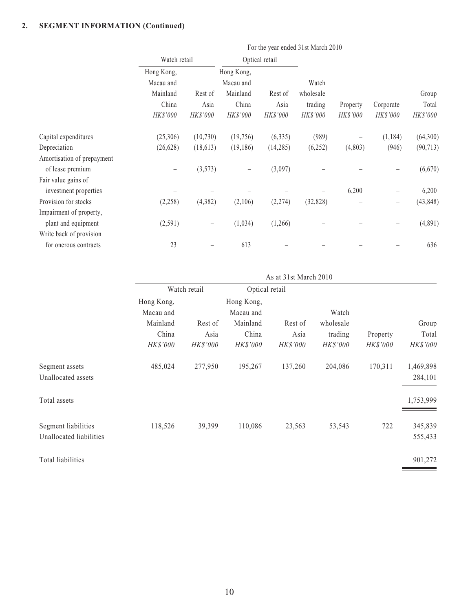|                            |              |           |                          |                | For the year ended 31st March 2010 |          |                          |           |          |
|----------------------------|--------------|-----------|--------------------------|----------------|------------------------------------|----------|--------------------------|-----------|----------|
|                            | Watch retail |           |                          | Optical retail |                                    |          |                          |           |          |
|                            | Hong Kong,   |           | Hong Kong,               |                |                                    |          |                          |           |          |
|                            | Macau and    |           | Macau and                |                | Watch                              |          |                          |           |          |
|                            | Mainland     | Rest of   | Mainland                 | Rest of        | wholesale                          |          |                          | Group     |          |
|                            | China        | Asia      | China                    | Asia           | trading                            | Property | Corporate                | Total     |          |
|                            | HK\$'000     |           | HK\$'000                 | HK\$'000       | HK\$'000                           | HK\$'000 | HK\$'000                 | HK\$'000  | HK\$'000 |
| Capital expenditures       | (25,306)     | (10, 730) | (19,756)                 | (6, 335)       | (989)                              |          | (1, 184)                 | (64, 300) |          |
| Depreciation               | (26, 628)    | (18, 613) | (19, 186)                | (14,285)       | (6,252)                            | (4,803)  | (946)                    | (90, 713) |          |
| Amortisation of prepayment |              |           |                          |                |                                    |          |                          |           |          |
| of lease premium           |              | (3,573)   | $\overline{\phantom{0}}$ | (3,097)        |                                    |          |                          | (6,670)   |          |
| Fair value gains of        |              |           |                          |                |                                    |          |                          |           |          |
| investment properties      |              |           |                          |                |                                    | 6,200    | $\overline{\phantom{m}}$ | 6,200     |          |
| Provision for stocks       | (2,258)      | (4,382)   | (2,106)                  | (2,274)        | (32, 828)                          |          |                          | (43, 848) |          |
| Impairment of property,    |              |           |                          |                |                                    |          |                          |           |          |
| plant and equipment        | (2,591)      |           | (1,034)                  | (1,266)        |                                    |          |                          | (4,891)   |          |
| Write back of provision    |              |           |                          |                |                                    |          |                          |           |          |
| for onerous contracts      | 23           |           | 613                      |                |                                    |          |                          | 636       |          |
|                            |              |           |                          |                |                                    |          |                          |           |          |

|                                                | As at 31st March 2010                        |                 |                                              |                 |                               |          |                      |
|------------------------------------------------|----------------------------------------------|-----------------|----------------------------------------------|-----------------|-------------------------------|----------|----------------------|
|                                                | Watch retail                                 |                 | Optical retail                               |                 |                               |          |                      |
|                                                | Hong Kong,<br>Macau and<br>Mainland<br>China | Rest of<br>Asia | Hong Kong,<br>Macau and<br>Mainland<br>China | Rest of<br>Asia | Watch<br>wholesale<br>trading | Property | Group<br>Total       |
|                                                | HK\$'000                                     | <b>HK\$'000</b> | <b>HK\$'000</b>                              | HK\$'000        | HK\$'000                      | HK\$'000 | HK\$'000             |
| Segment assets<br>Unallocated assets           | 485,024                                      | 277,950         | 195,267                                      | 137,260         | 204,086                       | 170,311  | 1,469,898<br>284,101 |
| Total assets                                   |                                              |                 |                                              |                 |                               |          | 1,753,999            |
| Segment liabilities<br>Unallocated liabilities | 118,526                                      | 39,399          | 110,086                                      | 23,563          | 53,543                        | 722      | 345,839<br>555,433   |
| Total liabilities                              |                                              |                 |                                              |                 |                               |          | 901,272              |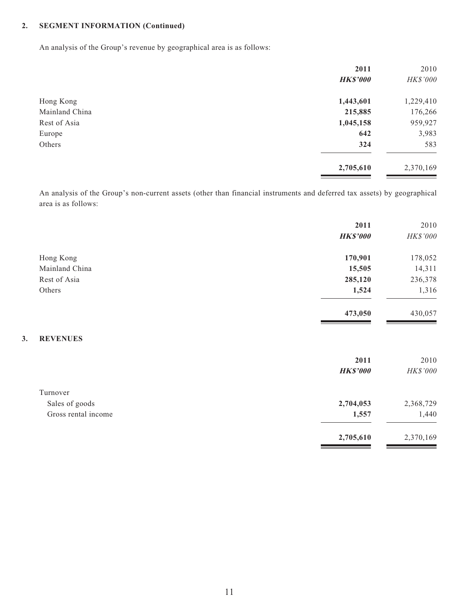**3. REVENUES**

An analysis of the Group's revenue by geographical area is as follows:

| 2011            | 2010      |
|-----------------|-----------|
| <b>HK\$'000</b> | HK\$'000  |
| 1,443,601       | 1,229,410 |
| 215,885         | 176,266   |
| 1,045,158       | 959,927   |
| 642             | 3,983     |
| 324             | 583       |
| 2,705,610       | 2,370,169 |
|                 |           |

An analysis of the Group's non-current assets (other than financial instruments and deferred tax assets) by geographical area is as follows:

|                     | 2011            | 2010      |
|---------------------|-----------------|-----------|
|                     | <b>HK\$'000</b> | HK\$'000  |
| Hong Kong           | 170,901         | 178,052   |
| Mainland China      | 15,505          | 14,311    |
| Rest of Asia        | 285,120         | 236,378   |
| Others              | 1,524           | 1,316     |
|                     | 473,050         | 430,057   |
| <b>REVENUES</b>     |                 |           |
|                     | 2011            | 2010      |
|                     | <b>HK\$'000</b> | HK\$'000  |
| Turnover            |                 |           |
| Sales of goods      | 2,704,053       | 2,368,729 |
| Gross rental income | 1,557           | 1,440     |
|                     | 2,705,610       | 2,370,169 |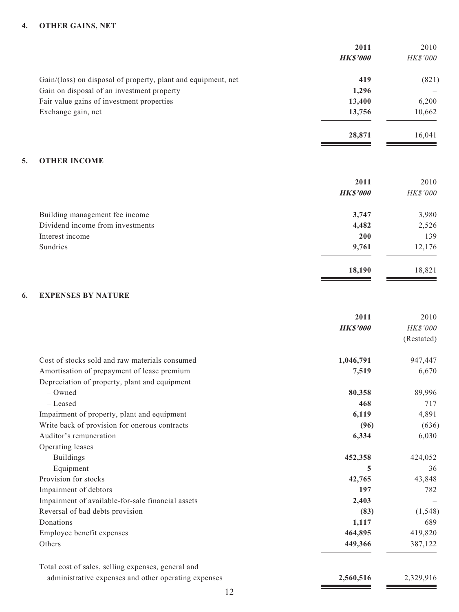#### **4. OTHER GAINS, NET**

|                                                               | 2011            | 2010     |
|---------------------------------------------------------------|-----------------|----------|
|                                                               | <b>HK\$'000</b> | HK\$'000 |
| Gain/(loss) on disposal of property, plant and equipment, net | 419             | (821)    |
| Gain on disposal of an investment property                    | 1,296           |          |
| Fair value gains of investment properties                     | 13,400          | 6,200    |
| Exchange gain, net                                            | 13,756          | 10,662   |
|                                                               | 28,871          | 16,041   |
| <b>OTHER INCOME</b><br>5.                                     |                 |          |
|                                                               | 2011            | 2010     |
|                                                               | <b>HK\$'000</b> | HK\$'000 |
| Building management fee income                                | 3,747           | 3,980    |
| Dividend income from investments                              | 4,482           | 2,526    |
| Interest income                                               | 200             | 139      |
| Sundries                                                      | 9,761           | 12,176   |
|                                                               | 18,190          | 18,821   |
| 6.<br><b>EXPENSES BY NATURE</b>                               |                 |          |

#### **6. EXPENSES BY NATURE**

|                                                      | 2011            | 2010       |
|------------------------------------------------------|-----------------|------------|
|                                                      | <b>HK\$'000</b> | HK\$'000   |
|                                                      |                 | (Restated) |
| Cost of stocks sold and raw materials consumed       | 1,046,791       | 947,447    |
| Amortisation of prepayment of lease premium          | 7,519           | 6,670      |
| Depreciation of property, plant and equipment        |                 |            |
| $-$ Owned                                            | 80,358          | 89,996     |
| - Leased                                             | 468             | 717        |
| Impairment of property, plant and equipment          | 6,119           | 4,891      |
| Write back of provision for onerous contracts        | (96)            | (636)      |
| Auditor's remuneration                               | 6,334           | 6,030      |
| Operating leases                                     |                 |            |
| $-$ Buildings                                        | 452,358         | 424,052    |
| $-$ Equipment                                        | 5               | 36         |
| Provision for stocks                                 | 42,765          | 43,848     |
| Impairment of debtors                                | 197             | 782        |
| Impairment of available-for-sale financial assets    | 2,403           |            |
| Reversal of bad debts provision                      | (83)            | (1, 548)   |
| Donations                                            | 1,117           | 689        |
| Employee benefit expenses                            | 464,895         | 419,820    |
| Others                                               | 449,366         | 387,122    |
| Total cost of sales, selling expenses, general and   |                 |            |
| administrative expenses and other operating expenses | 2,560,516       | 2,329,916  |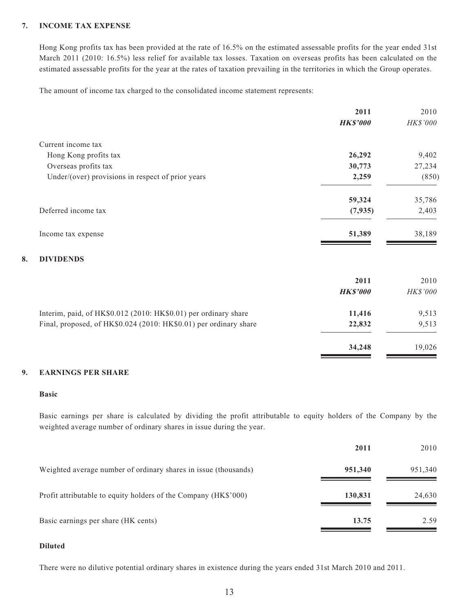#### **7. INCOME TAX EXPENSE**

Hong Kong profits tax has been provided at the rate of 16.5% on the estimated assessable profits for the year ended 31st March 2011 (2010: 16.5%) less relief for available tax losses. Taxation on overseas profits has been calculated on the estimated assessable profits for the year at the rates of taxation prevailing in the territories in which the Group operates.

The amount of income tax charged to the consolidated income statement represents:

|                                                                   | 2011            | 2010     |
|-------------------------------------------------------------------|-----------------|----------|
|                                                                   | <b>HK\$'000</b> | HK\$'000 |
| Current income tax                                                |                 |          |
| Hong Kong profits tax                                             | 26,292          | 9,402    |
| Overseas profits tax                                              | 30,773          | 27,234   |
| Under/(over) provisions in respect of prior years                 | 2,259           | (850)    |
|                                                                   | 59,324          | 35,786   |
| Deferred income tax                                               | (7,935)         | 2,403    |
| Income tax expense                                                | 51,389          | 38,189   |
| 8.<br><b>DIVIDENDS</b>                                            |                 |          |
|                                                                   | 2011            | 2010     |
|                                                                   | <b>HK\$'000</b> | HK\$'000 |
| Interim, paid, of HK\$0.012 (2010: HK\$0.01) per ordinary share   | 11,416          | 9,513    |
| Final, proposed, of HK\$0.024 (2010: HK\$0.01) per ordinary share | 22,832          | 9,513    |
|                                                                   | 34,248          | 19,026   |

#### **9. EARNINGS PER SHARE**

#### **Basic**

Basic earnings per share is calculated by dividing the profit attributable to equity holders of the Company by the weighted average number of ordinary shares in issue during the year.

|                                                                 | 2011    | 2010    |
|-----------------------------------------------------------------|---------|---------|
| Weighted average number of ordinary shares in issue (thousands) | 951,340 | 951,340 |
| Profit attributable to equity holders of the Company (HK\$'000) | 130,831 | 24,630  |
| Basic earnings per share (HK cents)                             | 13.75   | 2.59    |

#### **Diluted**

There were no dilutive potential ordinary shares in existence during the years ended 31st March 2010 and 2011.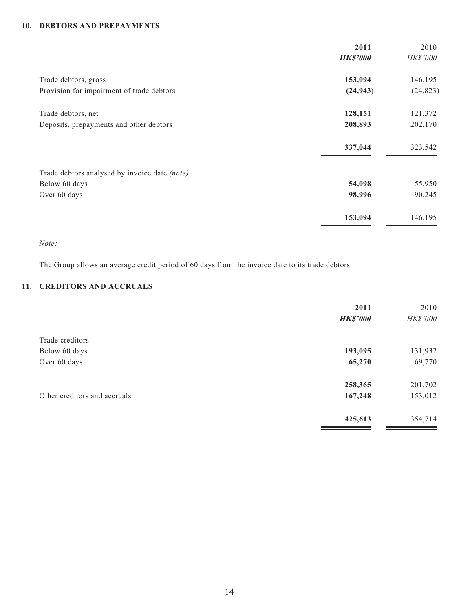#### **10. DEBTORS AND PREPAYMENTS**

|                                               | 2011            | 2010      |
|-----------------------------------------------|-----------------|-----------|
|                                               | <b>HK\$'000</b> | HK\$'000  |
| Trade debtors, gross                          | 153,094         | 146,195   |
| Provision for impairment of trade debtors     | (24, 943)       | (24, 823) |
| Trade debtors, net                            | 128,151         | 121,372   |
| Deposits, prepayments and other debtors       | 208,893         | 202,170   |
|                                               | 337,044         | 323,542   |
| Trade debtors analysed by invoice date (note) |                 |           |
| Below 60 days                                 | 54,098          | 55,950    |
| Over 60 days                                  | 98,996          | 90,245    |
|                                               | 153,094         | 146,195   |

*Note:*

The Group allows an average credit period of 60 days from the invoice date to its trade debtors.

#### **11. CREDITORS AND ACCRUALS**

|                              | 2011            | 2010     |
|------------------------------|-----------------|----------|
|                              | <b>HK\$'000</b> | HK\$'000 |
| Trade creditors              |                 |          |
| Below 60 days                | 193,095         | 131,932  |
| Over 60 days                 | 65,270          | 69,770   |
|                              | 258,365         | 201,702  |
| Other creditors and accruals | 167,248         | 153,012  |
|                              | 425,613         | 354,714  |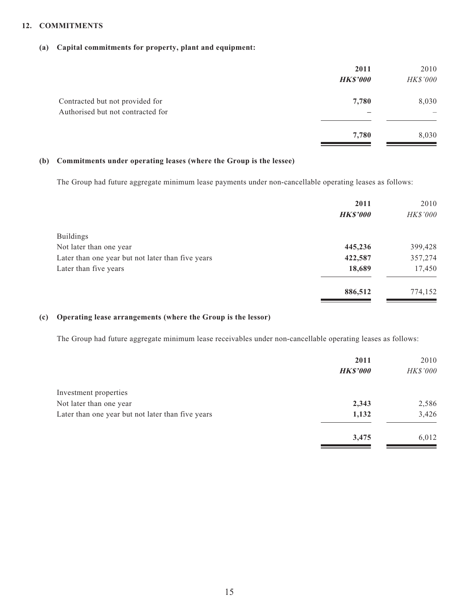#### **12. COMMITMENTS**

#### **(a) Capital commitments for property, plant and equipment:**

|                                                                      | 2011<br><b>HK\$'000</b> | 2010<br>HK\$'000 |
|----------------------------------------------------------------------|-------------------------|------------------|
| Contracted but not provided for<br>Authorised but not contracted for | 7,780                   | 8,030            |
|                                                                      | 7,780                   | 8,030            |

#### **(b) Commitments under operating leases (where the Group is the lessee)**

The Group had future aggregate minimum lease payments under non-cancellable operating leases as follows:

|                                                   | 2011            | 2010     |
|---------------------------------------------------|-----------------|----------|
|                                                   | <b>HK\$'000</b> | HK\$'000 |
| <b>Buildings</b>                                  |                 |          |
| Not later than one year                           | 445,236         | 399,428  |
| Later than one year but not later than five years | 422,587         | 357,274  |
| Later than five years                             | 18,689          | 17,450   |
|                                                   | 886,512         | 774,152  |

#### **(c) Operating lease arrangements (where the Group is the lessor)**

The Group had future aggregate minimum lease receivables under non-cancellable operating leases as follows:

|                                                   | 2011            | 2010     |
|---------------------------------------------------|-----------------|----------|
|                                                   | <b>HK\$'000</b> | HK\$'000 |
| Investment properties                             |                 |          |
| Not later than one year                           | 2,343           | 2,586    |
| Later than one year but not later than five years | 1,132           | 3,426    |
|                                                   | 3,475           | 6,012    |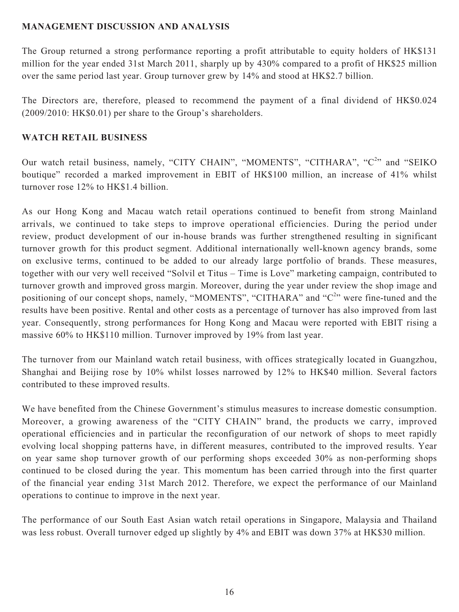## **MANAGEMENT DISCUSSION AND ANALYSIS**

The Group returned a strong performance reporting a profit attributable to equity holders of HK\$131 million for the year ended 31st March 2011, sharply up by 430% compared to a profit of HK\$25 million over the same period last year. Group turnover grew by 14% and stood at HK\$2.7 billion.

The Directors are, therefore, pleased to recommend the payment of a final dividend of HK\$0.024 (2009/2010: HK\$0.01) per share to the Group's shareholders.

## **WATCH RETAIL BUSINESS**

Our watch retail business, namely, "CITY CHAIN", "MOMENTS", "CITHARA", "C<sup>2</sup>" and "SEIKO boutique" recorded a marked improvement in EBIT of HK\$100 million, an increase of 41% whilst turnover rose 12% to HK\$1.4 billion.

As our Hong Kong and Macau watch retail operations continued to benefit from strong Mainland arrivals, we continued to take steps to improve operational efficiencies. During the period under review, product development of our in-house brands was further strengthened resulting in significant turnover growth for this product segment. Additional internationally well-known agency brands, some on exclusive terms, continued to be added to our already large portfolio of brands. These measures, together with our very well received "Solvil et Titus – Time is Love" marketing campaign, contributed to turnover growth and improved gross margin. Moreover, during the year under review the shop image and positioning of our concept shops, namely, "MOMENTS", "CITHARA" and " $C<sup>2</sup>$ " were fine-tuned and the results have been positive. Rental and other costs as a percentage of turnover has also improved from last year. Consequently, strong performances for Hong Kong and Macau were reported with EBIT rising a massive 60% to HK\$110 million. Turnover improved by 19% from last year.

The turnover from our Mainland watch retail business, with offices strategically located in Guangzhou, Shanghai and Beijing rose by 10% whilst losses narrowed by 12% to HK\$40 million. Several factors contributed to these improved results.

We have benefited from the Chinese Government's stimulus measures to increase domestic consumption. Moreover, a growing awareness of the "CITY CHAIN" brand, the products we carry, improved operational efficiencies and in particular the reconfiguration of our network of shops to meet rapidly evolving local shopping patterns have, in different measures, contributed to the improved results. Year on year same shop turnover growth of our performing shops exceeded 30% as non-performing shops continued to be closed during the year. This momentum has been carried through into the first quarter of the financial year ending 31st March 2012. Therefore, we expect the performance of our Mainland operations to continue to improve in the next year.

The performance of our South East Asian watch retail operations in Singapore, Malaysia and Thailand was less robust. Overall turnover edged up slightly by 4% and EBIT was down 37% at HK\$30 million.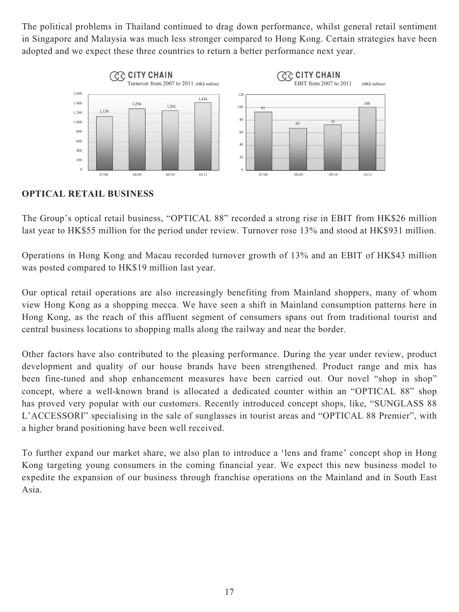The political problems in Thailand continued to drag down performance, whilst general retail sentiment in Singapore and Malaysia was much less stronger compared to Hong Kong. Certain strategies have been adopted and we expect these three countries to return a better performance next year.



## **OPTICAL RETAIL BUSINESS**

The Group's optical retail business, "OPTICAL 88" recorded a strong rise in EBIT from HK\$26 million last year to HK\$55 million for the period under review. Turnover rose 13% and stood at HK\$931 million.

Operations in Hong Kong and Macau recorded turnover growth of 13% and an EBIT of HK\$43 million was posted compared to HK\$19 million last year.

Our optical retail operations are also increasingly benefiting from Mainland shoppers, many of whom view Hong Kong as a shopping mecca. We have seen a shift in Mainland consumption patterns here in Hong Kong, as the reach of this affluent segment of consumers spans out from traditional tourist and central business locations to shopping malls along the railway and near the border.

Other factors have also contributed to the pleasing performance. During the year under review, product development and quality of our house brands have been strengthened. Product range and mix has been fine-tuned and shop enhancement measures have been carried out. Our novel "shop in shop" concept, where a well-known brand is allocated a dedicated counter within an "OPTICAL 88" shop has proved very popular with our customers. Recently introduced concept shops, like, "SUNGLASS 88 L'ACCESSORI" specialising in the sale of sunglasses in tourist areas and "OPTICAL 88 Premier", with a higher brand positioning have been well received.

To further expand our market share, we also plan to introduce a 'lens and frame' concept shop in Hong Kong targeting young consumers in the coming financial year. We expect this new business model to expedite the expansion of our business through franchise operations on the Mainland and in South East Asia.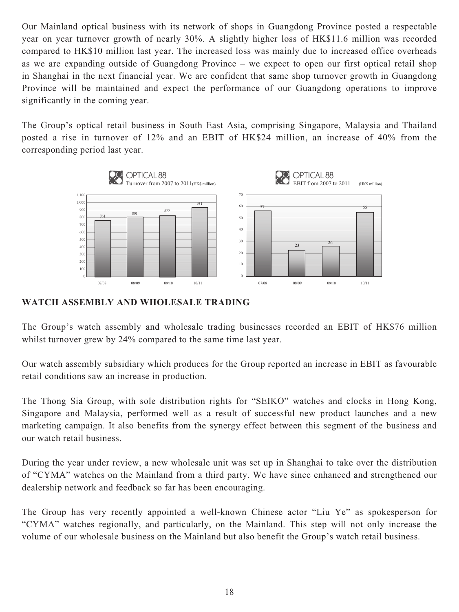Our Mainland optical business with its network of shops in Guangdong Province posted a respectable year on year turnover growth of nearly 30%. A slightly higher loss of HK\$11.6 million was recorded compared to HK\$10 million last year. The increased loss was mainly due to increased office overheads as we are expanding outside of Guangdong Province – we expect to open our first optical retail shop in Shanghai in the next financial year. We are confident that same shop turnover growth in Guangdong Province will be maintained and expect the performance of our Guangdong operations to improve significantly in the coming year.

The Group's optical retail business in South East Asia, comprising Singapore, Malaysia and Thailand posted a rise in turnover of 12% and an EBIT of HK\$24 million, an increase of 40% from the corresponding period last year.



## **WATCH ASSEMBLY AND WHOLESALE TRADING**

The Group's watch assembly and wholesale trading businesses recorded an EBIT of HK\$76 million whilst turnover grew by 24% compared to the same time last year.

Our watch assembly subsidiary which produces for the Group reported an increase in EBIT as favourable retail conditions saw an increase in production.

The Thong Sia Group, with sole distribution rights for "SEIKO" watches and clocks in Hong Kong, Singapore and Malaysia, performed well as a result of successful new product launches and a new marketing campaign. It also benefits from the synergy effect between this segment of the business and our watch retail business.

During the year under review, a new wholesale unit was set up in Shanghai to take over the distribution of "CYMA" watches on the Mainland from a third party. We have since enhanced and strengthened our dealership network and feedback so far has been encouraging.

The Group has very recently appointed a well-known Chinese actor "Liu Ye" as spokesperson for "CYMA" watches regionally, and particularly, on the Mainland. This step will not only increase the volume of our wholesale business on the Mainland but also benefit the Group's watch retail business.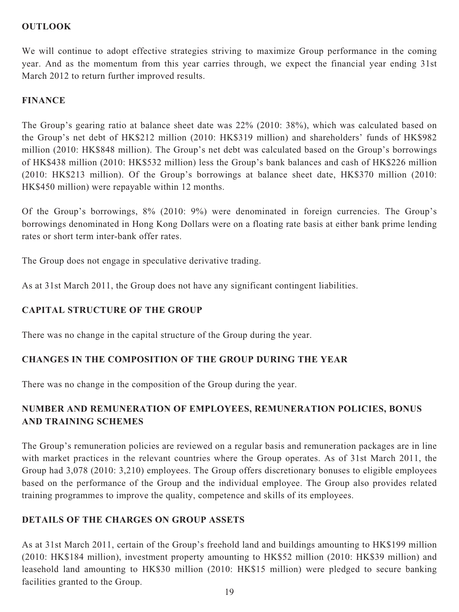## **OUTLOOK**

We will continue to adopt effective strategies striving to maximize Group performance in the coming year. And as the momentum from this year carries through, we expect the financial year ending 31st March 2012 to return further improved results.

## **FINANCE**

The Group's gearing ratio at balance sheet date was 22% (2010: 38%), which was calculated based on the Group's net debt of HK\$212 million (2010: HK\$319 million) and shareholders' funds of HK\$982 million (2010: HK\$848 million). The Group's net debt was calculated based on the Group's borrowings of HK\$438 million (2010: HK\$532 million) less the Group's bank balances and cash of HK\$226 million (2010: HK\$213 million). Of the Group's borrowings at balance sheet date, HK\$370 million (2010: HK\$450 million) were repayable within 12 months.

Of the Group's borrowings, 8% (2010: 9%) were denominated in foreign currencies. The Group's borrowings denominated in Hong Kong Dollars were on a floating rate basis at either bank prime lending rates or short term inter-bank offer rates.

The Group does not engage in speculative derivative trading.

As at 31st March 2011, the Group does not have any significant contingent liabilities.

## **CAPITAL STRUCTURE OF THE GROUP**

There was no change in the capital structure of the Group during the year.

## **CHANGES IN THE COMPOSITION OF THE GROUP DURING THE YEAR**

There was no change in the composition of the Group during the year.

## **NUMBER AND REMUNERATION OF EMPLOYEES, REMUNERATION POLICIES, BONUS AND TRAINING SCHEMES**

The Group's remuneration policies are reviewed on a regular basis and remuneration packages are in line with market practices in the relevant countries where the Group operates. As of 31st March 2011, the Group had 3,078 (2010: 3,210) employees. The Group offers discretionary bonuses to eligible employees based on the performance of the Group and the individual employee. The Group also provides related training programmes to improve the quality, competence and skills of its employees.

## **DETAILS OF THE CHARGES ON GROUP ASSETS**

As at 31st March 2011, certain of the Group's freehold land and buildings amounting to HK\$199 million (2010: HK\$184 million), investment property amounting to HK\$52 million (2010: HK\$39 million) and leasehold land amounting to HK\$30 million (2010: HK\$15 million) were pledged to secure banking facilities granted to the Group.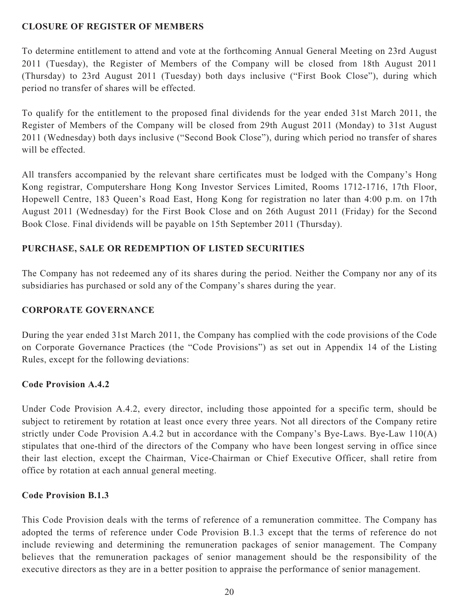## **CLOSURE OF REGISTER OF MEMBERS**

To determine entitlement to attend and vote at the forthcoming Annual General Meeting on 23rd August 2011 (Tuesday), the Register of Members of the Company will be closed from 18th August 2011 (Thursday) to 23rd August 2011 (Tuesday) both days inclusive ("First Book Close"), during which period no transfer of shares will be effected.

To qualify for the entitlement to the proposed final dividends for the year ended 31st March 2011, the Register of Members of the Company will be closed from 29th August 2011 (Monday) to 31st August 2011 (Wednesday) both days inclusive ("Second Book Close"), during which period no transfer of shares will be effected.

All transfers accompanied by the relevant share certificates must be lodged with the Company's Hong Kong registrar, Computershare Hong Kong Investor Services Limited, Rooms 1712-1716, 17th Floor, Hopewell Centre, 183 Queen's Road East, Hong Kong for registration no later than 4:00 p.m. on 17th August 2011 (Wednesday) for the First Book Close and on 26th August 2011 (Friday) for the Second Book Close. Final dividends will be payable on 15th September 2011 (Thursday).

## **PURCHASE, SALE OR REDEMPTION OF LISTED SECURITIES**

The Company has not redeemed any of its shares during the period. Neither the Company nor any of its subsidiaries has purchased or sold any of the Company's shares during the year.

## **CORPORATE GOVERNANCE**

During the year ended 31st March 2011, the Company has complied with the code provisions of the Code on Corporate Governance Practices (the "Code Provisions") as set out in Appendix 14 of the Listing Rules, except for the following deviations:

## **Code Provision A.4.2**

Under Code Provision A.4.2, every director, including those appointed for a specific term, should be subject to retirement by rotation at least once every three years. Not all directors of the Company retire strictly under Code Provision A.4.2 but in accordance with the Company's Bye-Laws. Bye-Law 110(A) stipulates that one-third of the directors of the Company who have been longest serving in office since their last election, except the Chairman, Vice-Chairman or Chief Executive Officer, shall retire from office by rotation at each annual general meeting.

## **Code Provision B.1.3**

This Code Provision deals with the terms of reference of a remuneration committee. The Company has adopted the terms of reference under Code Provision B.1.3 except that the terms of reference do not include reviewing and determining the remuneration packages of senior management. The Company believes that the remuneration packages of senior management should be the responsibility of the executive directors as they are in a better position to appraise the performance of senior management.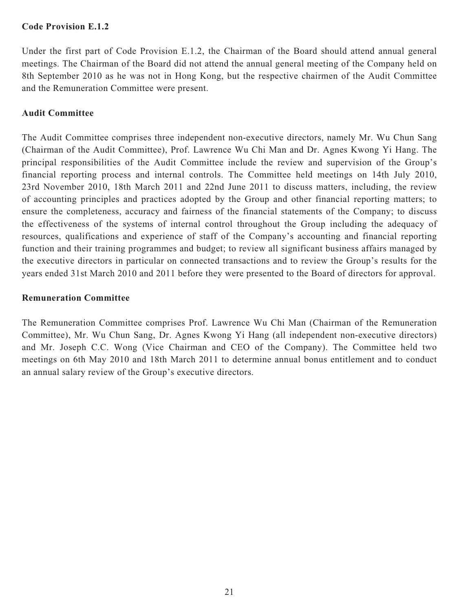## **Code Provision E.1.2**

Under the first part of Code Provision E.1.2, the Chairman of the Board should attend annual general meetings. The Chairman of the Board did not attend the annual general meeting of the Company held on 8th September 2010 as he was not in Hong Kong, but the respective chairmen of the Audit Committee and the Remuneration Committee were present.

## **Audit Committee**

The Audit Committee comprises three independent non-executive directors, namely Mr. Wu Chun Sang (Chairman of the Audit Committee), Prof. Lawrence Wu Chi Man and Dr. Agnes Kwong Yi Hang. The principal responsibilities of the Audit Committee include the review and supervision of the Group's financial reporting process and internal controls. The Committee held meetings on 14th July 2010, 23rd November 2010, 18th March 2011 and 22nd June 2011 to discuss matters, including, the review of accounting principles and practices adopted by the Group and other financial reporting matters; to ensure the completeness, accuracy and fairness of the financial statements of the Company; to discuss the effectiveness of the systems of internal control throughout the Group including the adequacy of resources, qualifications and experience of staff of the Company's accounting and financial reporting function and their training programmes and budget; to review all significant business affairs managed by the executive directors in particular on connected transactions and to review the Group's results for the years ended 31st March 2010 and 2011 before they were presented to the Board of directors for approval.

## **Remuneration Committee**

The Remuneration Committee comprises Prof. Lawrence Wu Chi Man (Chairman of the Remuneration Committee), Mr. Wu Chun Sang, Dr. Agnes Kwong Yi Hang (all independent non-executive directors) and Mr. Joseph C.C. Wong (Vice Chairman and CEO of the Company). The Committee held two meetings on 6th May 2010 and 18th March 2011 to determine annual bonus entitlement and to conduct an annual salary review of the Group's executive directors.